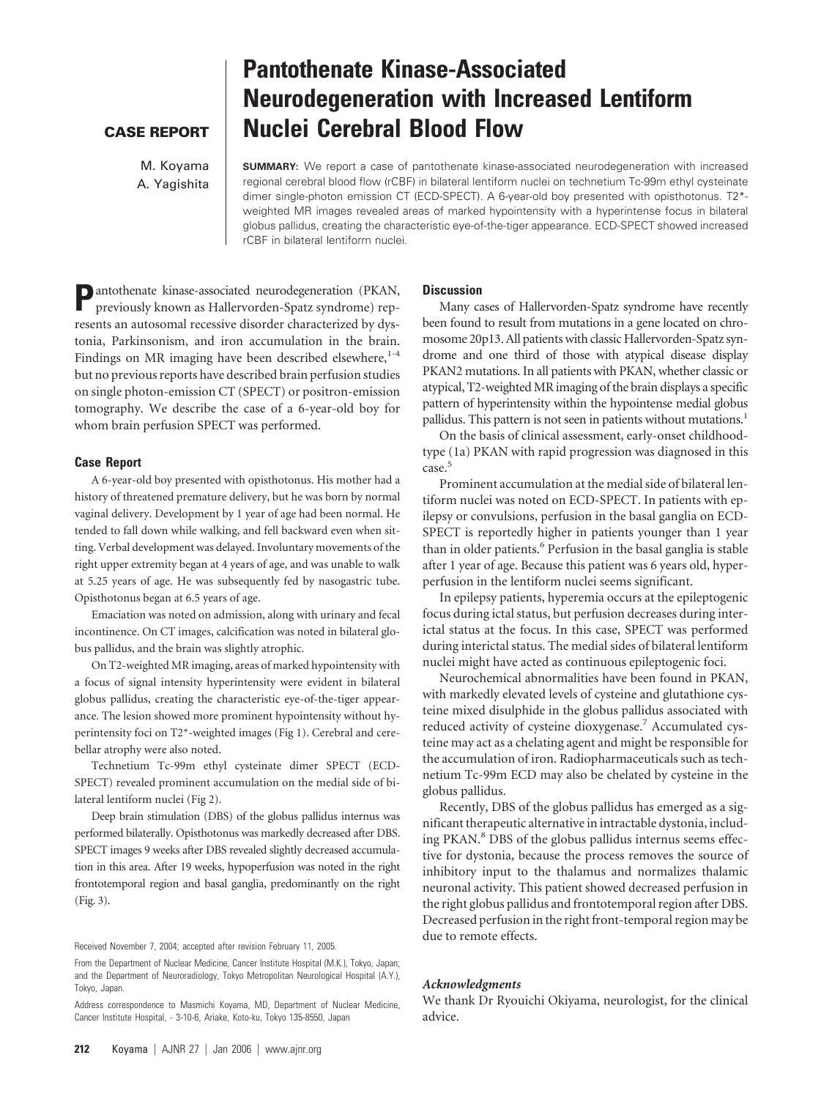## **CASE REPORT**

M. Koyama A. Yagishita

# **Pantothenate Kinase-Associated Neurodegeneration with Increased Lentiform Nuclei Cerebral Blood Flow**

**SUMMARY:** We report a case of pantothenate kinase-associated neurodegeneration with increased regional cerebral blood flow (rCBF) in bilateral lentiform nuclei on technetium Tc-99m ethyl cysteinate dimer single-photon emission CT (ECD-SPECT). A 6-year-old boy presented with opisthotonus. T2\* weighted MR images revealed areas of marked hypointensity with a hyperintense focus in bilateral globus pallidus, creating the characteristic eye-of-the-tiger appearance. ECD-SPECT showed increased rCBF in bilateral lentiform nuclei.

**P**antothenate kinase-associated neurodegeneration (PKAN, previously known as Hallervorden-Spatz syndrome) represents an autosomal recessive disorder characterized by dystonia, Parkinsonism, and iron accumulation in the brain. Findings on MR imaging have been described elsewhere,<sup>1-4</sup> but no previous reports have described brain perfusion studies on single photon-emission CT (SPECT) or positron-emission tomography. We describe the case of a 6-year-old boy for whom brain perfusion SPECT was performed.

#### **Case Report**

A 6-year-old boy presented with opisthotonus. His mother had a history of threatened premature delivery, but he was born by normal vaginal delivery. Development by 1 year of age had been normal. He tended to fall down while walking, and fell backward even when sitting. Verbal development was delayed. Involuntary movements of the right upper extremity began at 4 years of age, and was unable to walk at 5.25 years of age. He was subsequently fed by nasogastric tube. Opisthotonus began at 6.5 years of age.

Emaciation was noted on admission, along with urinary and fecal incontinence. On CT images, calcification was noted in bilateral globus pallidus, and the brain was slightly atrophic.

On T2-weighted MR imaging, areas of marked hypointensity with a focus of signal intensity hyperintensity were evident in bilateral globus pallidus, creating the characteristic eye-of-the-tiger appearance. The lesion showed more prominent hypointensity without hyperintensity foci on T2\*-weighted images (Fig 1). Cerebral and cerebellar atrophy were also noted.

Technetium Tc-99m ethyl cysteinate dimer SPECT (ECD-SPECT) revealed prominent accumulation on the medial side of bilateral lentiform nuclei (Fig 2).

Deep brain stimulation (DBS) of the globus pallidus internus was performed bilaterally. Opisthotonus was markedly decreased after DBS. SPECT images 9 weeks after DBS revealed slightly decreased accumulation in this area. After 19 weeks, hypoperfusion was noted in the right frontotemporal region and basal ganglia, predominantly on the right (Fig. 3).

Received November 7, 2004; accepted after revision February 11, 2005.

#### **Discussion**

Many cases of Hallervorden-Spatz syndrome have recently been found to result from mutations in a gene located on chromosome 20p13. All patients with classic Hallervorden-Spatz syndrome and one third of those with atypical disease display PKAN2 mutations. In all patients with PKAN, whether classic or atypical, T2-weighted MR imaging of the brain displays a specific pattern of hyperintensity within the hypointense medial globus pallidus. This pattern is not seen in patients without mutations.<sup>1</sup>

On the basis of clinical assessment, early-onset childhoodtype (1a) PKAN with rapid progression was diagnosed in this case.<sup>5</sup>

Prominent accumulation at the medial side of bilateral lentiform nuclei was noted on ECD-SPECT. In patients with epilepsy or convulsions, perfusion in the basal ganglia on ECD-SPECT is reportedly higher in patients younger than 1 year than in older patients.<sup>6</sup> Perfusion in the basal ganglia is stable after 1 year of age. Because this patient was 6 years old, hyperperfusion in the lentiform nuclei seems significant.

In epilepsy patients, hyperemia occurs at the epileptogenic focus during ictal status, but perfusion decreases during interictal status at the focus. In this case, SPECT was performed during interictal status. The medial sides of bilateral lentiform nuclei might have acted as continuous epileptogenic foci.

Neurochemical abnormalities have been found in PKAN, with markedly elevated levels of cysteine and glutathione cysteine mixed disulphide in the globus pallidus associated with reduced activity of cysteine dioxygenase.7 Accumulated cysteine may act as a chelating agent and might be responsible for the accumulation of iron. Radiopharmaceuticals such as technetium Tc-99m ECD may also be chelated by cysteine in the globus pallidus.

Recently, DBS of the globus pallidus has emerged as a significant therapeutic alternative in intractable dystonia, including PKAN.<sup>8</sup> DBS of the globus pallidus internus seems effective for dystonia, because the process removes the source of inhibitory input to the thalamus and normalizes thalamic neuronal activity. This patient showed decreased perfusion in the right globus pallidus and frontotemporal region after DBS. Decreased perfusion in the right front-temporal region may be due to remote effects.

### *Acknowledgments*

We thank Dr Ryouichi Okiyama, neurologist, for the clinical advice.

From the Department of Nuclear Medicine, Cancer Institute Hospital (M.K.), Tokyo, Japan; and the Department of Neuroradiology, Tokyo Metropolitan Neurological Hospital (A.Y.), Tokyo, Japan.

Address correspondence to Masmichi Koyama, MD, Department of Nuclear Medicine, Cancer Institute Hospital, - 3-10-6, Ariake, Koto-ku, Tokyo 135-8550, Japan